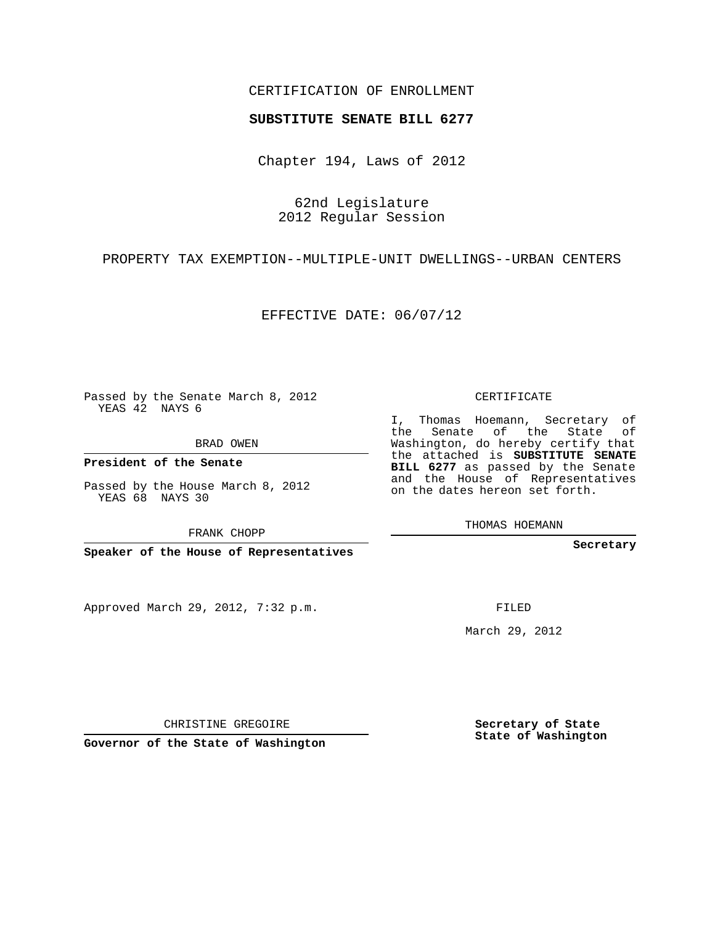## CERTIFICATION OF ENROLLMENT

## **SUBSTITUTE SENATE BILL 6277**

Chapter 194, Laws of 2012

62nd Legislature 2012 Regular Session

PROPERTY TAX EXEMPTION--MULTIPLE-UNIT DWELLINGS--URBAN CENTERS

EFFECTIVE DATE: 06/07/12

Passed by the Senate March 8, 2012 YEAS 42 NAYS 6

BRAD OWEN

**President of the Senate**

Passed by the House March 8, 2012 YEAS 68 NAYS 30

FRANK CHOPP

Approved March 29, 2012, 7:32 p.m.

CERTIFICATE

I, Thomas Hoemann, Secretary of the Senate of the State of Washington, do hereby certify that the attached is **SUBSTITUTE SENATE BILL 6277** as passed by the Senate and the House of Representatives on the dates hereon set forth.

THOMAS HOEMANN

**Secretary**

FILED

March 29, 2012

**Secretary of State State of Washington**

CHRISTINE GREGOIRE

**Governor of the State of Washington**

**Speaker of the House of Representatives**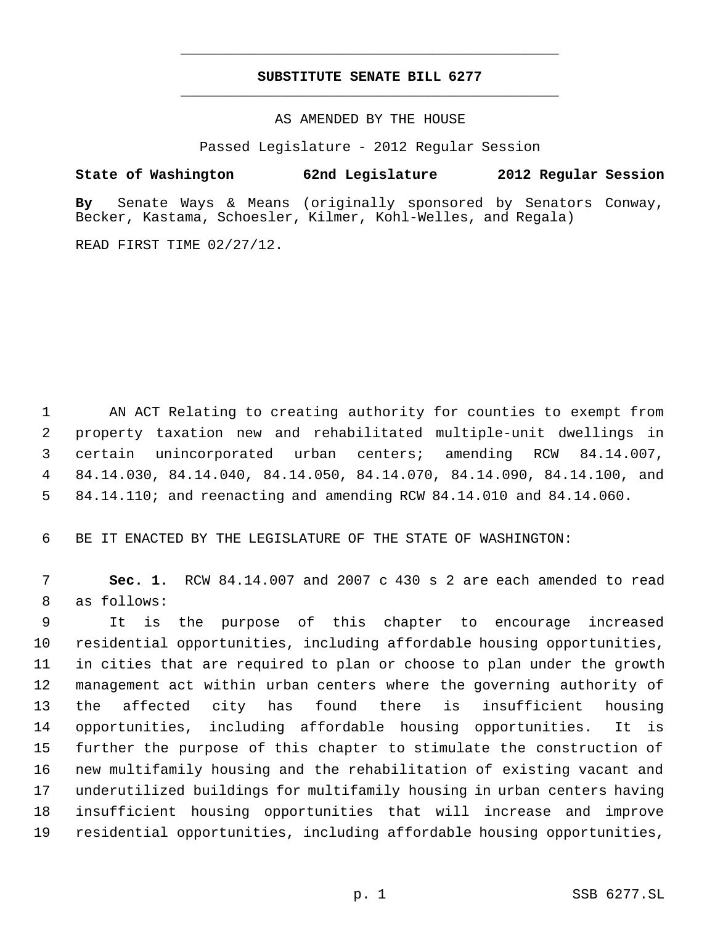## **SUBSTITUTE SENATE BILL 6277** \_\_\_\_\_\_\_\_\_\_\_\_\_\_\_\_\_\_\_\_\_\_\_\_\_\_\_\_\_\_\_\_\_\_\_\_\_\_\_\_\_\_\_\_\_

\_\_\_\_\_\_\_\_\_\_\_\_\_\_\_\_\_\_\_\_\_\_\_\_\_\_\_\_\_\_\_\_\_\_\_\_\_\_\_\_\_\_\_\_\_

AS AMENDED BY THE HOUSE

Passed Legislature - 2012 Regular Session

## **State of Washington 62nd Legislature 2012 Regular Session**

**By** Senate Ways & Means (originally sponsored by Senators Conway, Becker, Kastama, Schoesler, Kilmer, Kohl-Welles, and Regala)

READ FIRST TIME 02/27/12.

 AN ACT Relating to creating authority for counties to exempt from property taxation new and rehabilitated multiple-unit dwellings in certain unincorporated urban centers; amending RCW 84.14.007, 84.14.030, 84.14.040, 84.14.050, 84.14.070, 84.14.090, 84.14.100, and 84.14.110; and reenacting and amending RCW 84.14.010 and 84.14.060.

BE IT ENACTED BY THE LEGISLATURE OF THE STATE OF WASHINGTON:

 **Sec. 1.** RCW 84.14.007 and 2007 c 430 s 2 are each amended to read as follows:

 It is the purpose of this chapter to encourage increased residential opportunities, including affordable housing opportunities, in cities that are required to plan or choose to plan under the growth management act within urban centers where the governing authority of the affected city has found there is insufficient housing opportunities, including affordable housing opportunities. It is further the purpose of this chapter to stimulate the construction of new multifamily housing and the rehabilitation of existing vacant and underutilized buildings for multifamily housing in urban centers having insufficient housing opportunities that will increase and improve residential opportunities, including affordable housing opportunities,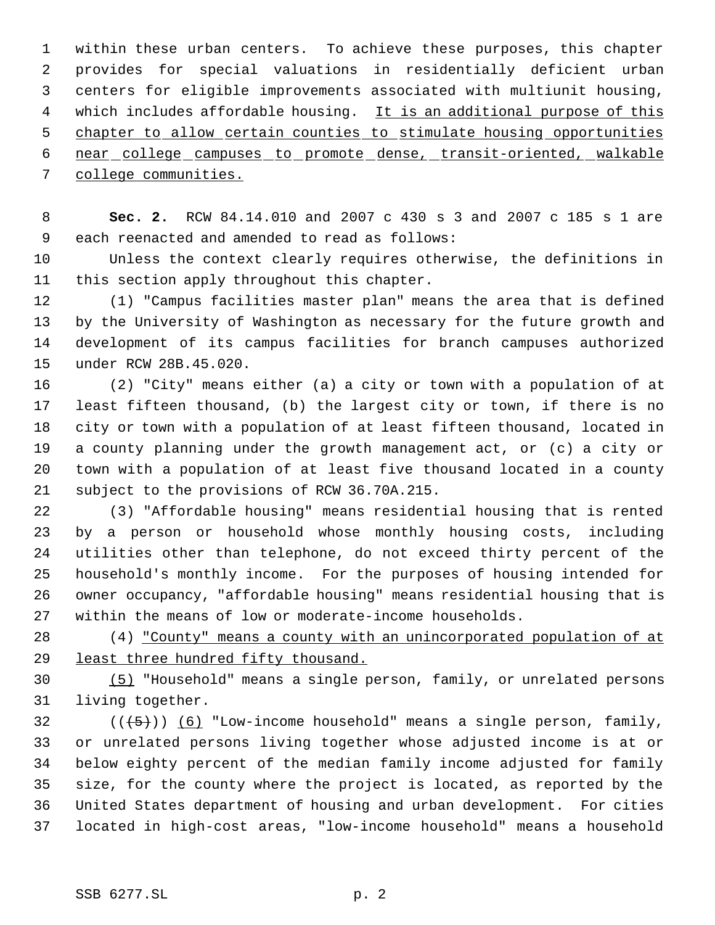within these urban centers. To achieve these purposes, this chapter provides for special valuations in residentially deficient urban centers for eligible improvements associated with multiunit housing, 4 which includes affordable housing. It is an additional purpose of this chapter to allow certain counties to stimulate housing opportunities near college campuses to promote dense, transit-oriented, walkable college communities.

 **Sec. 2.** RCW 84.14.010 and 2007 c 430 s 3 and 2007 c 185 s 1 are each reenacted and amended to read as follows:

 Unless the context clearly requires otherwise, the definitions in this section apply throughout this chapter.

 (1) "Campus facilities master plan" means the area that is defined by the University of Washington as necessary for the future growth and development of its campus facilities for branch campuses authorized under RCW 28B.45.020.

 (2) "City" means either (a) a city or town with a population of at least fifteen thousand, (b) the largest city or town, if there is no city or town with a population of at least fifteen thousand, located in a county planning under the growth management act, or (c) a city or town with a population of at least five thousand located in a county subject to the provisions of RCW 36.70A.215.

 (3) "Affordable housing" means residential housing that is rented by a person or household whose monthly housing costs, including utilities other than telephone, do not exceed thirty percent of the household's monthly income. For the purposes of housing intended for owner occupancy, "affordable housing" means residential housing that is within the means of low or moderate-income households.

 (4) "County" means a county with an unincorporated population of at least three hundred fifty thousand.

 (5) "Household" means a single person, family, or unrelated persons living together.

 $((\langle 5 \rangle)(6)$  "Low-income household" means a single person, family, or unrelated persons living together whose adjusted income is at or below eighty percent of the median family income adjusted for family size, for the county where the project is located, as reported by the United States department of housing and urban development. For cities located in high-cost areas, "low-income household" means a household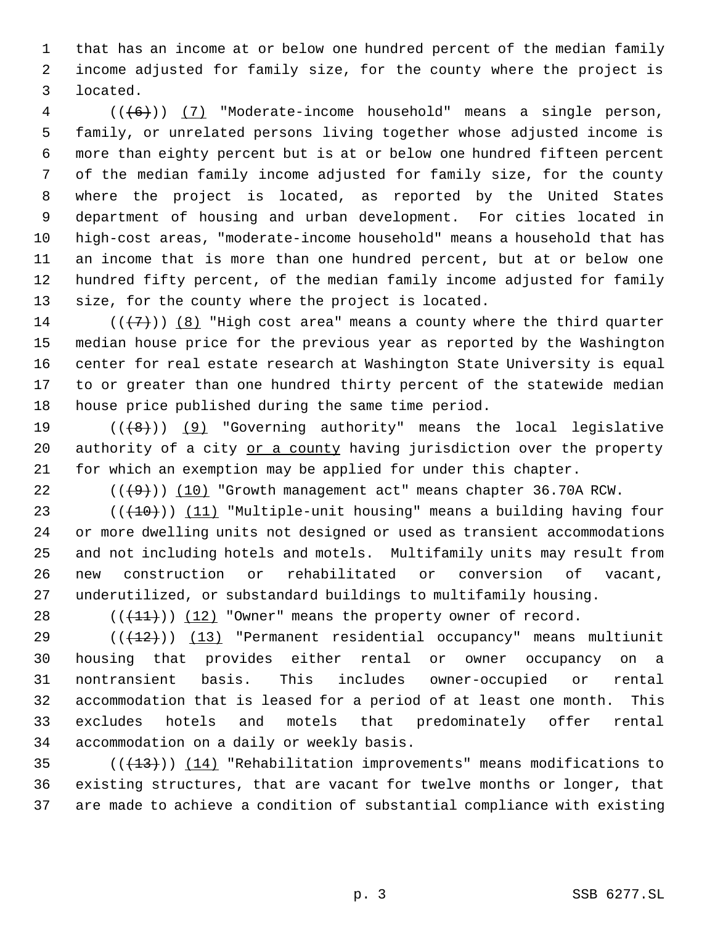that has an income at or below one hundred percent of the median family income adjusted for family size, for the county where the project is located.

 (((6))) (7) "Moderate-income household" means a single person, family, or unrelated persons living together whose adjusted income is more than eighty percent but is at or below one hundred fifteen percent of the median family income adjusted for family size, for the county where the project is located, as reported by the United States department of housing and urban development. For cities located in high-cost areas, "moderate-income household" means a household that has an income that is more than one hundred percent, but at or below one hundred fifty percent, of the median family income adjusted for family size, for the county where the project is located.

14 ( $(\overline{\langle 7 \rangle})$ ) (8) "High cost area" means a county where the third quarter median house price for the previous year as reported by the Washington center for real estate research at Washington State University is equal to or greater than one hundred thirty percent of the statewide median house price published during the same time period.

19  $((+8))$  (9) "Governing authority" means the local legislative 20 authority of a city or a county having jurisdiction over the property for which an exemption may be applied for under this chapter.

22  $((+9))$   $(10)$  "Growth management act" means chapter 36.70A RCW.

23 (( $(10)$ )) (11) "Multiple-unit housing" means a building having four or more dwelling units not designed or used as transient accommodations and not including hotels and motels. Multifamily units may result from new construction or rehabilitated or conversion of vacant, underutilized, or substandard buildings to multifamily housing.

28  $((+11))$   $(12)$  "Owner" means the property owner of record.

 $((+12))$   $(13)$  "Permanent residential occupancy" means multiunit housing that provides either rental or owner occupancy on a nontransient basis. This includes owner-occupied or rental accommodation that is leased for a period of at least one month. This excludes hotels and motels that predominately offer rental accommodation on a daily or weekly basis.

35  $((+13))$   $(14)$  "Rehabilitation improvements" means modifications to existing structures, that are vacant for twelve months or longer, that are made to achieve a condition of substantial compliance with existing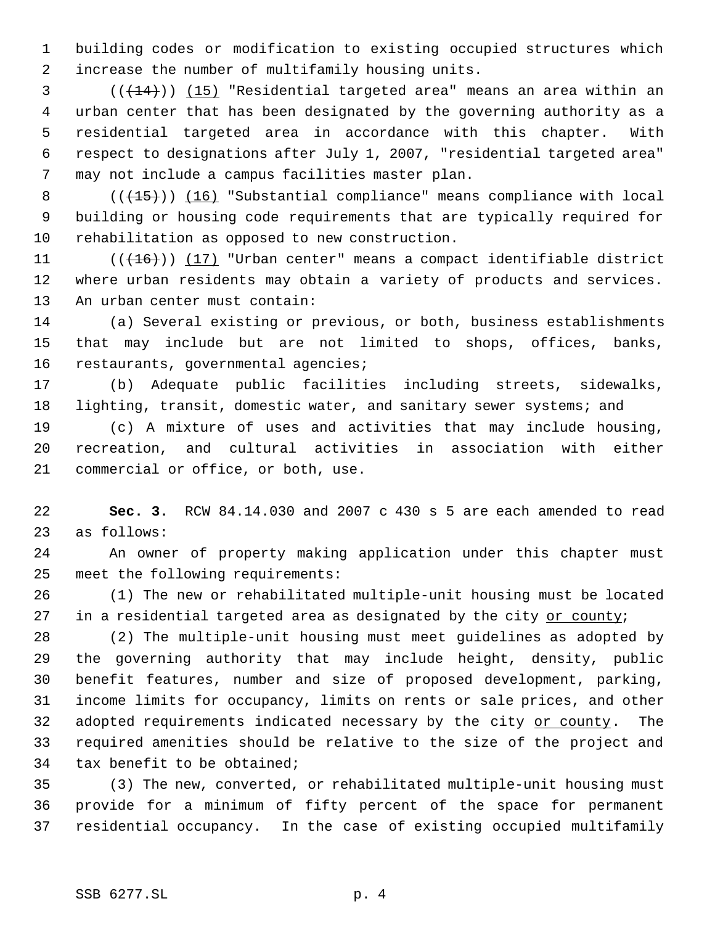building codes or modification to existing occupied structures which increase the number of multifamily housing units.

3 ( $(\overline{+14})$ ) (15) "Residential targeted area" means an area within an urban center that has been designated by the governing authority as a residential targeted area in accordance with this chapter. With respect to designations after July 1, 2007, "residential targeted area" may not include a campus facilities master plan.

8 (( $\left(\frac{15}{15}\right)$ ) (16) "Substantial compliance" means compliance with local building or housing code requirements that are typically required for rehabilitation as opposed to new construction.

11 (( $(16)$ )) (17) "Urban center" means a compact identifiable district where urban residents may obtain a variety of products and services. An urban center must contain:

 (a) Several existing or previous, or both, business establishments that may include but are not limited to shops, offices, banks, restaurants, governmental agencies;

 (b) Adequate public facilities including streets, sidewalks, 18 lighting, transit, domestic water, and sanitary sewer systems; and

 (c) A mixture of uses and activities that may include housing, recreation, and cultural activities in association with either commercial or office, or both, use.

 **Sec. 3.** RCW 84.14.030 and 2007 c 430 s 5 are each amended to read as follows:

 An owner of property making application under this chapter must meet the following requirements:

 (1) The new or rehabilitated multiple-unit housing must be located 27 in a residential targeted area as designated by the city or county;

 (2) The multiple-unit housing must meet guidelines as adopted by the governing authority that may include height, density, public benefit features, number and size of proposed development, parking, income limits for occupancy, limits on rents or sale prices, and other 32 adopted requirements indicated necessary by the city or county. The required amenities should be relative to the size of the project and tax benefit to be obtained;

 (3) The new, converted, or rehabilitated multiple-unit housing must provide for a minimum of fifty percent of the space for permanent residential occupancy. In the case of existing occupied multifamily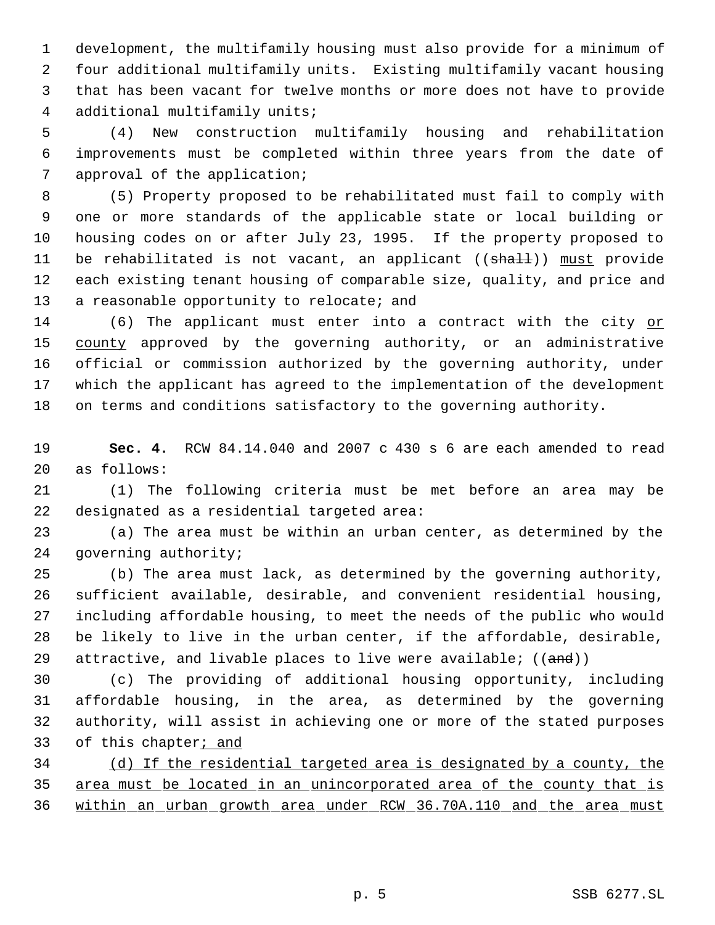development, the multifamily housing must also provide for a minimum of four additional multifamily units. Existing multifamily vacant housing that has been vacant for twelve months or more does not have to provide additional multifamily units;

 (4) New construction multifamily housing and rehabilitation improvements must be completed within three years from the date of approval of the application;

 (5) Property proposed to be rehabilitated must fail to comply with one or more standards of the applicable state or local building or housing codes on or after July 23, 1995. If the property proposed to 11 be rehabilitated is not vacant, an applicant ((shall)) must provide each existing tenant housing of comparable size, quality, and price and 13 a reasonable opportunity to relocate; and

 (6) The applicant must enter into a contract with the city or 15 county approved by the governing authority, or an administrative official or commission authorized by the governing authority, under which the applicant has agreed to the implementation of the development on terms and conditions satisfactory to the governing authority.

 **Sec. 4.** RCW 84.14.040 and 2007 c 430 s 6 are each amended to read as follows:

 (1) The following criteria must be met before an area may be designated as a residential targeted area:

 (a) The area must be within an urban center, as determined by the governing authority;

 (b) The area must lack, as determined by the governing authority, sufficient available, desirable, and convenient residential housing, including affordable housing, to meet the needs of the public who would be likely to live in the urban center, if the affordable, desirable, 29 attractive, and livable places to live were available;  $((and))$ 

 (c) The providing of additional housing opportunity, including affordable housing, in the area, as determined by the governing authority, will assist in achieving one or more of the stated purposes 33 of this chapter; and

 (d) If the residential targeted area is designated by a county, the area must be located in an unincorporated area of the county that is within an urban growth area under RCW 36.70A.110 and the area must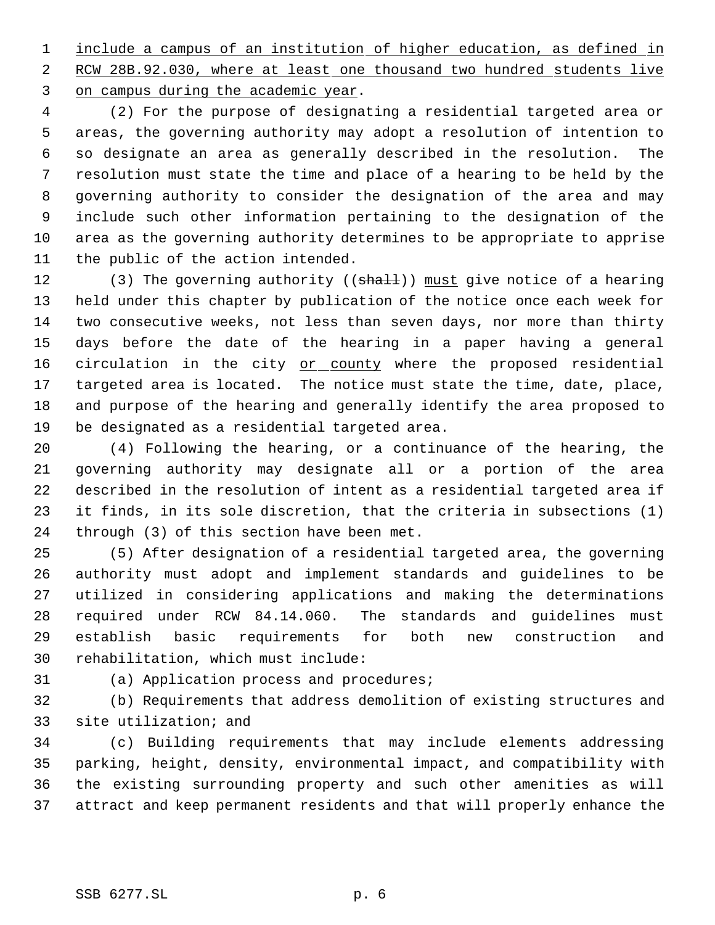include a campus of an institution of higher education, as defined in 2 RCW 28B.92.030, where at least one thousand two hundred students live on campus during the academic year.

 (2) For the purpose of designating a residential targeted area or areas, the governing authority may adopt a resolution of intention to so designate an area as generally described in the resolution. The resolution must state the time and place of a hearing to be held by the governing authority to consider the designation of the area and may include such other information pertaining to the designation of the area as the governing authority determines to be appropriate to apprise the public of the action intended.

12 (3) The governing authority ((shall)) must give notice of a hearing held under this chapter by publication of the notice once each week for two consecutive weeks, not less than seven days, nor more than thirty days before the date of the hearing in a paper having a general 16 circulation in the city or county where the proposed residential targeted area is located. The notice must state the time, date, place, and purpose of the hearing and generally identify the area proposed to be designated as a residential targeted area.

 (4) Following the hearing, or a continuance of the hearing, the governing authority may designate all or a portion of the area described in the resolution of intent as a residential targeted area if it finds, in its sole discretion, that the criteria in subsections (1) through (3) of this section have been met.

 (5) After designation of a residential targeted area, the governing authority must adopt and implement standards and guidelines to be utilized in considering applications and making the determinations required under RCW 84.14.060. The standards and guidelines must establish basic requirements for both new construction and rehabilitation, which must include:

(a) Application process and procedures;

 (b) Requirements that address demolition of existing structures and site utilization; and

 (c) Building requirements that may include elements addressing parking, height, density, environmental impact, and compatibility with the existing surrounding property and such other amenities as will attract and keep permanent residents and that will properly enhance the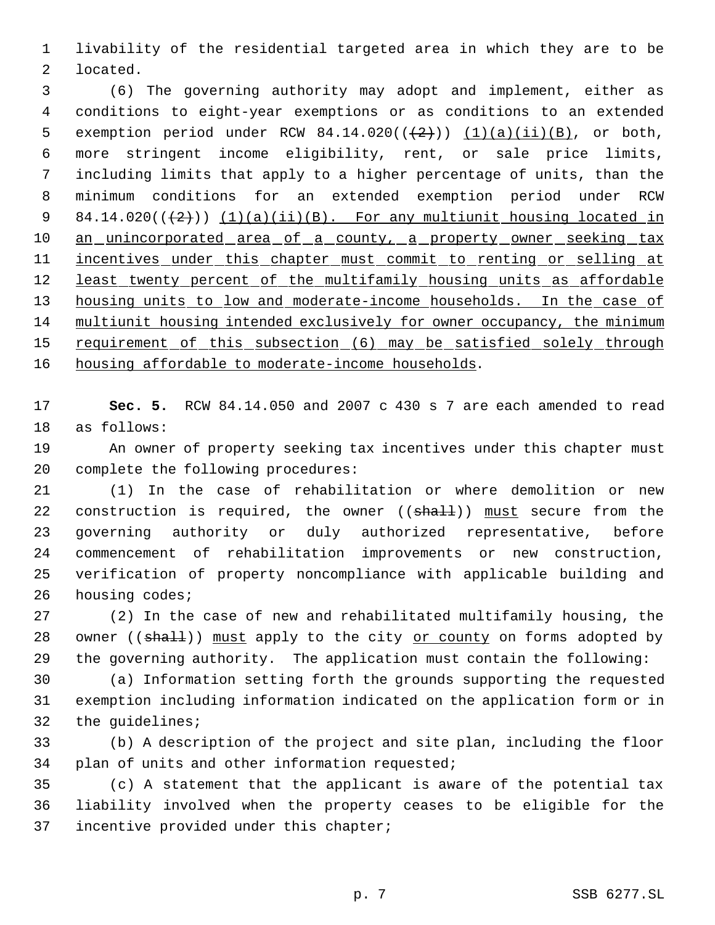livability of the residential targeted area in which they are to be located.

 (6) The governing authority may adopt and implement, either as conditions to eight-year exemptions or as conditions to an extended 5 exemption period under RCW  $84.14.020((+2))$   $(1)(a)(ii)(B)$ , or both, more stringent income eligibility, rent, or sale price limits, including limits that apply to a higher percentage of units, than the minimum conditions for an extended exemption period under RCW 9 84.14.020 $((+2))$   $(1)(a)(ii)(B)$ . For any multiunit housing located in 10 an unincorporated area of a county, a property owner seeking tax 11 <u>incentives under this chapter must commit to renting or selling at</u> 12 least twenty percent of the multifamily housing units as affordable 13 housing units to low and moderate-income households. In the case of multiunit housing intended exclusively for owner occupancy, the minimum 15 requirement of this subsection (6) may be satisfied solely through 16 housing affordable to moderate-income households.

 **Sec. 5.** RCW 84.14.050 and 2007 c 430 s 7 are each amended to read as follows:

 An owner of property seeking tax incentives under this chapter must complete the following procedures:

 (1) In the case of rehabilitation or where demolition or new 22 construction is required, the owner ((shall)) must secure from the governing authority or duly authorized representative, before commencement of rehabilitation improvements or new construction, verification of property noncompliance with applicable building and housing codes;

 (2) In the case of new and rehabilitated multifamily housing, the 28 owner ((shall)) must apply to the city or county on forms adopted by the governing authority. The application must contain the following:

 (a) Information setting forth the grounds supporting the requested exemption including information indicated on the application form or in the guidelines;

 (b) A description of the project and site plan, including the floor plan of units and other information requested;

 (c) A statement that the applicant is aware of the potential tax liability involved when the property ceases to be eligible for the incentive provided under this chapter;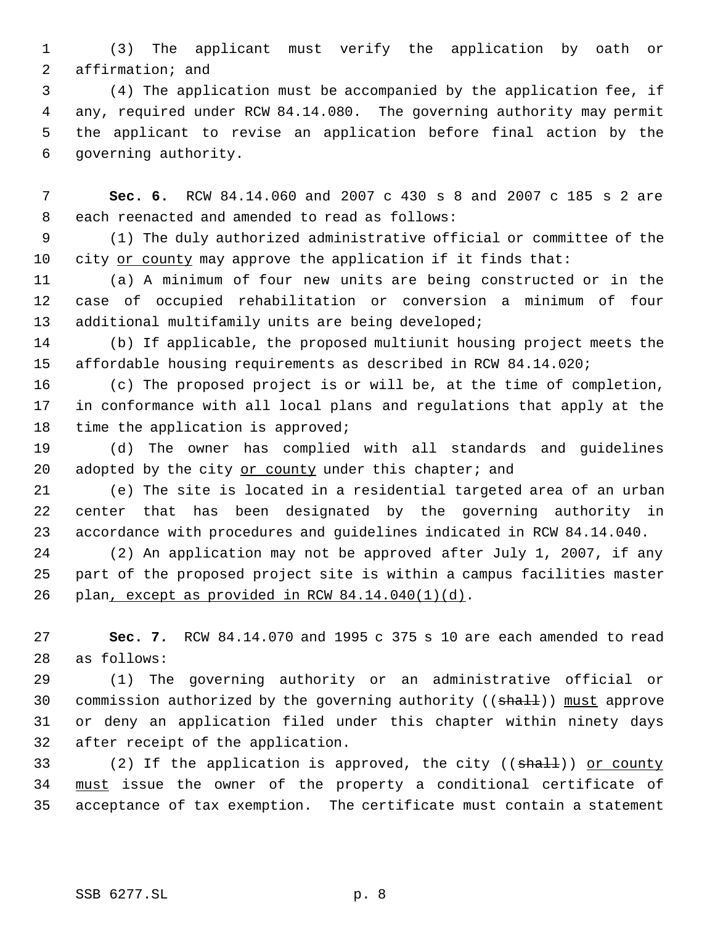(3) The applicant must verify the application by oath or affirmation; and

 (4) The application must be accompanied by the application fee, if any, required under RCW 84.14.080. The governing authority may permit the applicant to revise an application before final action by the governing authority.

 **Sec. 6.** RCW 84.14.060 and 2007 c 430 s 8 and 2007 c 185 s 2 are each reenacted and amended to read as follows:

 (1) The duly authorized administrative official or committee of the 10 city or county may approve the application if it finds that:

 (a) A minimum of four new units are being constructed or in the case of occupied rehabilitation or conversion a minimum of four additional multifamily units are being developed;

 (b) If applicable, the proposed multiunit housing project meets the affordable housing requirements as described in RCW 84.14.020;

 (c) The proposed project is or will be, at the time of completion, in conformance with all local plans and regulations that apply at the 18 time the application is approved;

 (d) The owner has complied with all standards and guidelines 20 adopted by the city or county under this chapter; and

 (e) The site is located in a residential targeted area of an urban center that has been designated by the governing authority in accordance with procedures and guidelines indicated in RCW 84.14.040.

 (2) An application may not be approved after July 1, 2007, if any part of the proposed project site is within a campus facilities master plan, except as provided in RCW 84.14.040(1)(d).

 **Sec. 7.** RCW 84.14.070 and 1995 c 375 s 10 are each amended to read as follows:

 (1) The governing authority or an administrative official or 30 commission authorized by the governing authority ((shall)) must approve or deny an application filed under this chapter within ninety days after receipt of the application.

33 (2) If the application is approved, the city ((shall)) or county 34 must issue the owner of the property a conditional certificate of acceptance of tax exemption. The certificate must contain a statement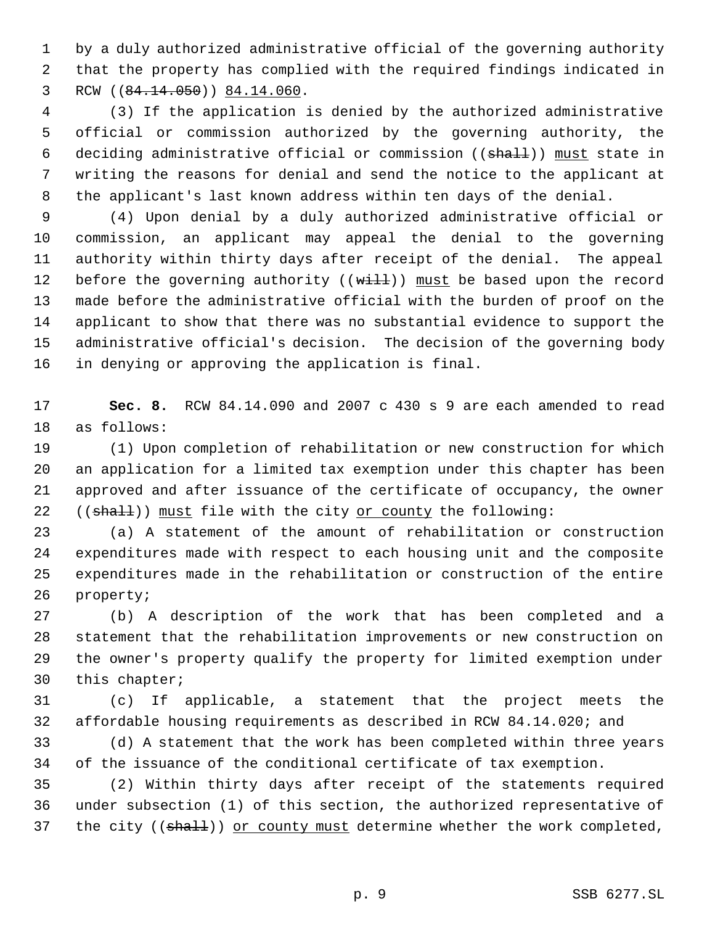by a duly authorized administrative official of the governing authority that the property has complied with the required findings indicated in 3 RCW ((84.14.050)) 84.14.060.

 (3) If the application is denied by the authorized administrative official or commission authorized by the governing authority, the 6 deciding administrative official or commission ((shall)) must state in writing the reasons for denial and send the notice to the applicant at the applicant's last known address within ten days of the denial.

 (4) Upon denial by a duly authorized administrative official or commission, an applicant may appeal the denial to the governing authority within thirty days after receipt of the denial. The appeal 12 before the governing authority  $((\text{with})$  must be based upon the record made before the administrative official with the burden of proof on the applicant to show that there was no substantial evidence to support the administrative official's decision. The decision of the governing body in denying or approving the application is final.

 **Sec. 8.** RCW 84.14.090 and 2007 c 430 s 9 are each amended to read as follows:

 (1) Upon completion of rehabilitation or new construction for which an application for a limited tax exemption under this chapter has been approved and after issuance of the certificate of occupancy, the owner  $((shalt))$  must file with the city or county the following:

 (a) A statement of the amount of rehabilitation or construction expenditures made with respect to each housing unit and the composite expenditures made in the rehabilitation or construction of the entire property;

 (b) A description of the work that has been completed and a statement that the rehabilitation improvements or new construction on the owner's property qualify the property for limited exemption under this chapter;

 (c) If applicable, a statement that the project meets the affordable housing requirements as described in RCW 84.14.020; and

 (d) A statement that the work has been completed within three years of the issuance of the conditional certificate of tax exemption.

 (2) Within thirty days after receipt of the statements required under subsection (1) of this section, the authorized representative of 37 the city ((shall)) or county must determine whether the work completed,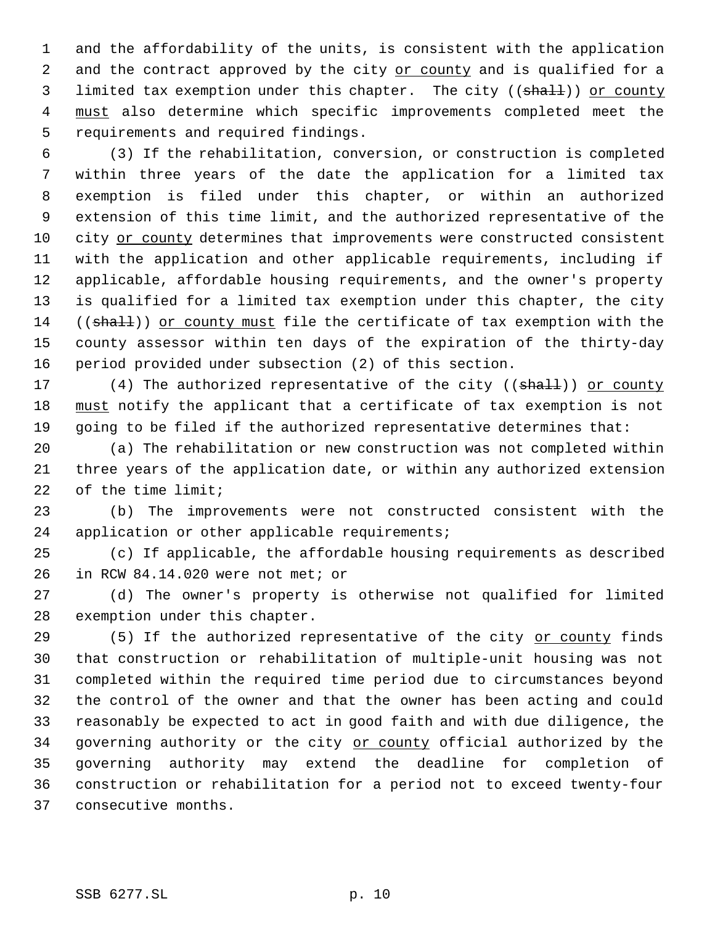and the affordability of the units, is consistent with the application 2 and the contract approved by the city or county and is qualified for a 3 limited tax exemption under this chapter. The city ((shall)) or county 4 must also determine which specific improvements completed meet the requirements and required findings.

 (3) If the rehabilitation, conversion, or construction is completed within three years of the date the application for a limited tax exemption is filed under this chapter, or within an authorized extension of this time limit, and the authorized representative of the city or county determines that improvements were constructed consistent with the application and other applicable requirements, including if applicable, affordable housing requirements, and the owner's property is qualified for a limited tax exemption under this chapter, the city 14 ((shall)) or county must file the certificate of tax exemption with the county assessor within ten days of the expiration of the thirty-day period provided under subsection (2) of this section.

17 (4) The authorized representative of the city ((shall)) or county 18 must notify the applicant that a certificate of tax exemption is not going to be filed if the authorized representative determines that:

 (a) The rehabilitation or new construction was not completed within three years of the application date, or within any authorized extension of the time limit;

 (b) The improvements were not constructed consistent with the application or other applicable requirements;

 (c) If applicable, the affordable housing requirements as described in RCW 84.14.020 were not met; or

 (d) The owner's property is otherwise not qualified for limited exemption under this chapter.

 (5) If the authorized representative of the city or county finds that construction or rehabilitation of multiple-unit housing was not completed within the required time period due to circumstances beyond the control of the owner and that the owner has been acting and could reasonably be expected to act in good faith and with due diligence, the 34 governing authority or the city or county official authorized by the governing authority may extend the deadline for completion of construction or rehabilitation for a period not to exceed twenty-four consecutive months.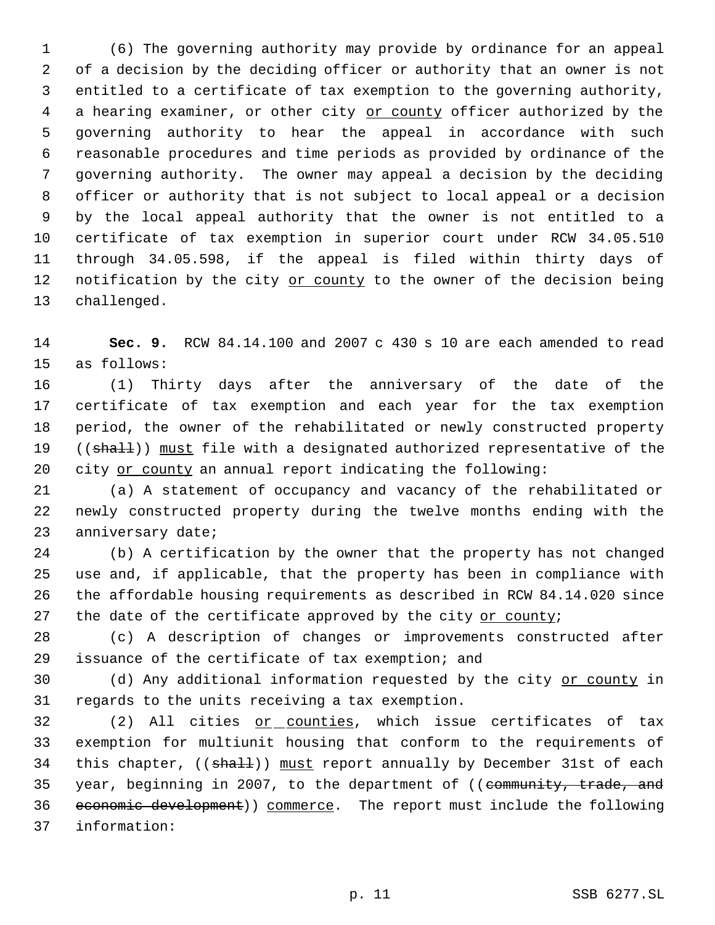(6) The governing authority may provide by ordinance for an appeal of a decision by the deciding officer or authority that an owner is not entitled to a certificate of tax exemption to the governing authority, 4 a hearing examiner, or other city or county officer authorized by the governing authority to hear the appeal in accordance with such reasonable procedures and time periods as provided by ordinance of the governing authority. The owner may appeal a decision by the deciding officer or authority that is not subject to local appeal or a decision by the local appeal authority that the owner is not entitled to a certificate of tax exemption in superior court under RCW 34.05.510 through 34.05.598, if the appeal is filed within thirty days of 12 notification by the city or county to the owner of the decision being challenged.

 **Sec. 9.** RCW 84.14.100 and 2007 c 430 s 10 are each amended to read as follows:

 (1) Thirty days after the anniversary of the date of the certificate of tax exemption and each year for the tax exemption period, the owner of the rehabilitated or newly constructed property 19 ((shall)) must file with a designated authorized representative of the city or county an annual report indicating the following:

 (a) A statement of occupancy and vacancy of the rehabilitated or newly constructed property during the twelve months ending with the anniversary date;

 (b) A certification by the owner that the property has not changed use and, if applicable, that the property has been in compliance with the affordable housing requirements as described in RCW 84.14.020 since 27 the date of the certificate approved by the city or county;

 (c) A description of changes or improvements constructed after issuance of the certificate of tax exemption; and

30 (d) Any additional information requested by the city or county in regards to the units receiving a tax exemption.

32 (2) All cities or counties, which issue certificates of tax exemption for multiunit housing that conform to the requirements of 34 this chapter, ((shall)) must report annually by December 31st of each 35 year, beginning in 2007, to the department of ((community, trade, and economic development)) commerce. The report must include the following information: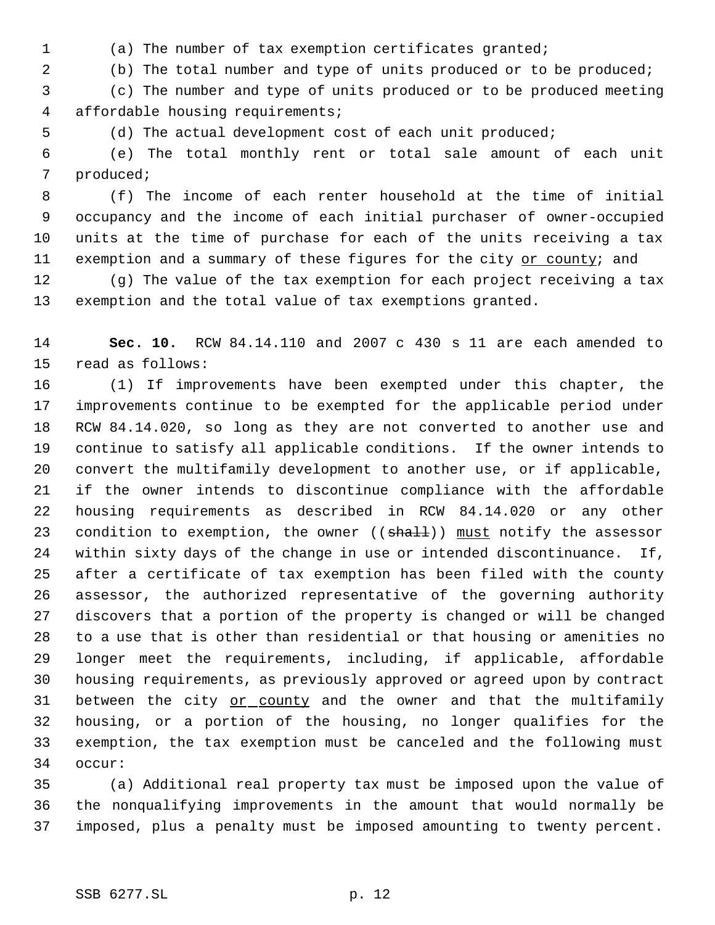(a) The number of tax exemption certificates granted;

(b) The total number and type of units produced or to be produced;

 (c) The number and type of units produced or to be produced meeting affordable housing requirements;

(d) The actual development cost of each unit produced;

 (e) The total monthly rent or total sale amount of each unit produced;

 (f) The income of each renter household at the time of initial occupancy and the income of each initial purchaser of owner-occupied units at the time of purchase for each of the units receiving a tax 11 exemption and a summary of these figures for the city or county; and

 (g) The value of the tax exemption for each project receiving a tax exemption and the total value of tax exemptions granted.

 **Sec. 10.** RCW 84.14.110 and 2007 c 430 s 11 are each amended to read as follows:

 (1) If improvements have been exempted under this chapter, the improvements continue to be exempted for the applicable period under RCW 84.14.020, so long as they are not converted to another use and continue to satisfy all applicable conditions. If the owner intends to convert the multifamily development to another use, or if applicable, if the owner intends to discontinue compliance with the affordable housing requirements as described in RCW 84.14.020 or any other 23 condition to exemption, the owner ((shall)) must notify the assessor within sixty days of the change in use or intended discontinuance. If, after a certificate of tax exemption has been filed with the county assessor, the authorized representative of the governing authority discovers that a portion of the property is changed or will be changed to a use that is other than residential or that housing or amenities no longer meet the requirements, including, if applicable, affordable housing requirements, as previously approved or agreed upon by contract 31 between the city or county and the owner and that the multifamily housing, or a portion of the housing, no longer qualifies for the exemption, the tax exemption must be canceled and the following must occur:

 (a) Additional real property tax must be imposed upon the value of the nonqualifying improvements in the amount that would normally be imposed, plus a penalty must be imposed amounting to twenty percent.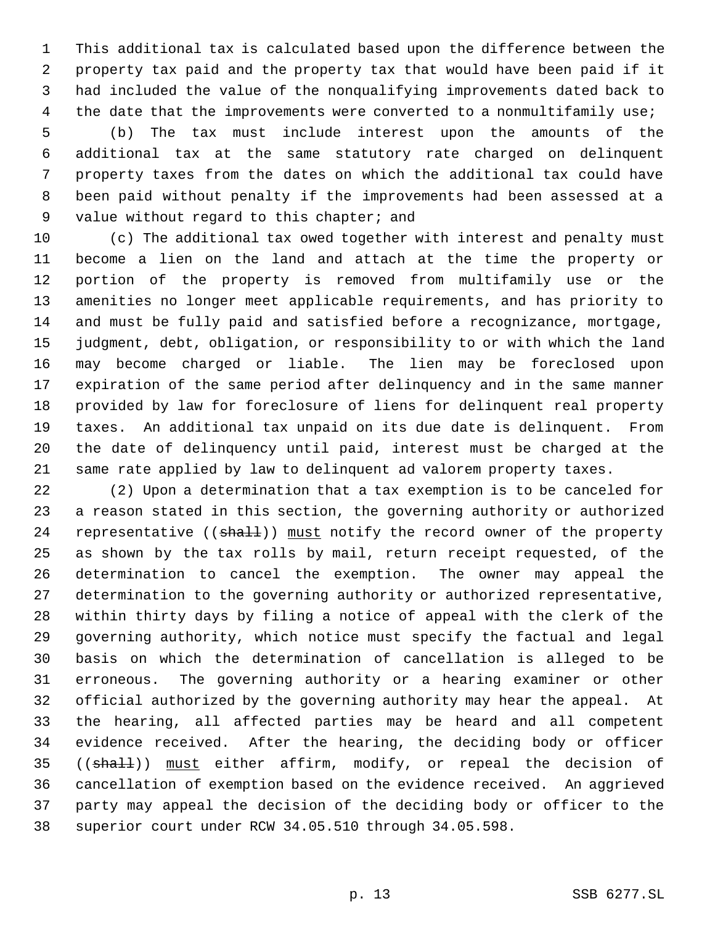This additional tax is calculated based upon the difference between the property tax paid and the property tax that would have been paid if it had included the value of the nonqualifying improvements dated back to 4 the date that the improvements were converted to a nonmultifamily use;

 (b) The tax must include interest upon the amounts of the additional tax at the same statutory rate charged on delinquent property taxes from the dates on which the additional tax could have been paid without penalty if the improvements had been assessed at a 9 value without regard to this chapter; and

 (c) The additional tax owed together with interest and penalty must become a lien on the land and attach at the time the property or portion of the property is removed from multifamily use or the amenities no longer meet applicable requirements, and has priority to and must be fully paid and satisfied before a recognizance, mortgage, judgment, debt, obligation, or responsibility to or with which the land may become charged or liable. The lien may be foreclosed upon expiration of the same period after delinquency and in the same manner provided by law for foreclosure of liens for delinquent real property taxes. An additional tax unpaid on its due date is delinquent. From the date of delinquency until paid, interest must be charged at the same rate applied by law to delinquent ad valorem property taxes.

 (2) Upon a determination that a tax exemption is to be canceled for a reason stated in this section, the governing authority or authorized 24 representative ((shall)) must notify the record owner of the property as shown by the tax rolls by mail, return receipt requested, of the determination to cancel the exemption. The owner may appeal the determination to the governing authority or authorized representative, within thirty days by filing a notice of appeal with the clerk of the governing authority, which notice must specify the factual and legal basis on which the determination of cancellation is alleged to be erroneous. The governing authority or a hearing examiner or other official authorized by the governing authority may hear the appeal. At the hearing, all affected parties may be heard and all competent evidence received. After the hearing, the deciding body or officer 35 ((shall)) must either affirm, modify, or repeal the decision of cancellation of exemption based on the evidence received. An aggrieved party may appeal the decision of the deciding body or officer to the superior court under RCW 34.05.510 through 34.05.598.